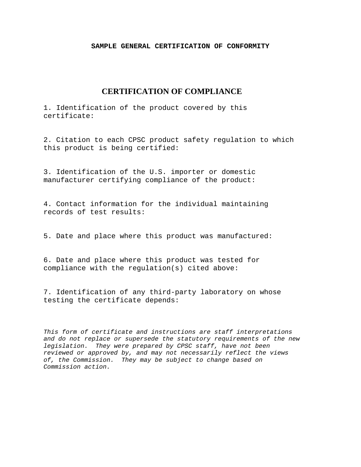#### **SAMPLE GENERAL CERTIFICATION OF CONFORMITY**

# **CERTIFICATION OF COMPLIANCE**

1. Identification of the product covered by this certificate:

2. Citation to each CPSC product safety regulation to which this product is being certified:

3. Identification of the U.S. importer or domestic manufacturer certifying compliance of the product:

4. Contact information for the individual maintaining records of test results:

5. Date and place where this product was manufactured:

6. Date and place where this product was tested for compliance with the regulation(s) cited above:

7. Identification of any third-party laboratory on whose testing the certificate depends:

*This form of certificate and instructions are staff interpretations and do not replace or supersede the statutory requirements of the new legislation. They were prepared by CPSC staff, have not been reviewed or approved by, and may not necessarily reflect the views of, the Commission. They may be subject to change based on Commission action.*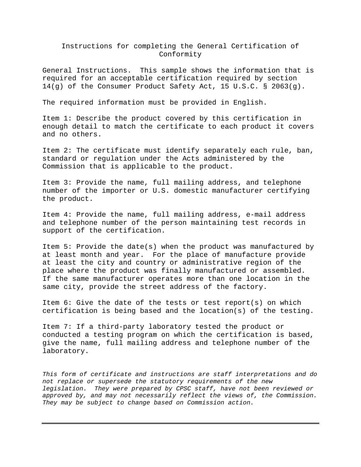#### Instructions for completing the General Certification of Conformity

General Instructions. This sample shows the information that is required for an acceptable certification required by section 14(g) of the Consumer Product Safety Act, 15 U.S.C. § 2063(g).

The required information must be provided in English.

Item 1: Describe the product covered by this certification in enough detail to match the certificate to each product it covers and no others.

Item 2: The certificate must identify separately each rule, ban, standard or regulation under the Acts administered by the Commission that is applicable to the product.

Item 3: Provide the name, full mailing address, and telephone number of the importer or U.S. domestic manufacturer certifying the product.

Item 4: Provide the name, full mailing address, e-mail address and telephone number of the person maintaining test records in support of the certification.

Item 5: Provide the date(s) when the product was manufactured by at least month and year. For the place of manufacture provide at least the city and country or administrative region of the place where the product was finally manufactured or assembled. If the same manufacturer operates more than one location in the same city, provide the street address of the factory.

Item 6: Give the date of the tests or test report(s) on which certification is being based and the location(s) of the testing.

Item 7: If a third-party laboratory tested the product or conducted a testing program on which the certification is based, give the name, full mailing address and telephone number of the laboratory.

*This form of certificate and instructions are staff interpretations and do not replace or supersede the statutory requirements of the new legislation. They were prepared by CPSC staff, have not been reviewed or approved by, and may not necessarily reflect the views of, the Commission. They may be subject to change based on Commission action.*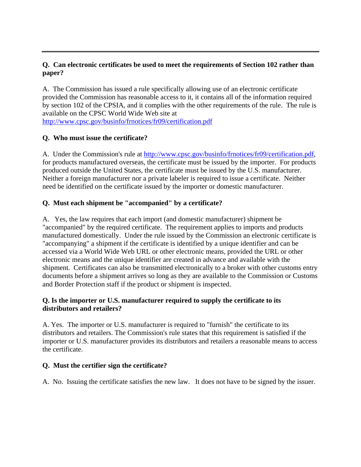## **Q. Can electronic certificates be used to meet the requirements of Section 102 rather than paper?**

A. The Commission has issued a rule specifically allowing use of an electronic certificate provided the Commission has reasonable access to it, it contains all of the information required by section 102 of the CPSIA, and it complies with the other requirements of the rule. The rule is available on the CPSC World Wide Web site at <http://www.cpsc.gov/businfo/frnotices/fr09/certification.pdf>

## **Q. Who must issue the certificate?**

A. Under the Commission's rule at [http://www.cpsc.gov/businfo/frnotices/fr09/certification.pdf,](http://www.cpsc.gov/businfo/frnotices/fr09/certification.pdf) for products manufactured overseas, the certificate must be issued by the importer. For products produced outside the United States, the certificate must be issued by the U.S. manufacturer. Neither a foreign manufacturer nor a private labeler is required to issue a certificate. Neither need be identified on the certificate issued by the importer or domestic manufacturer.

## **Q. Must each shipment be "accompanied" by a certificate?**

A. Yes, the law requires that each import (and domestic manufacturer) shipment be "accompanied" by the required certificate. The requirement applies to imports and products manufactured domestically. Under the rule issued by the Commission an electronic certificate is "accompanying" a shipment if the certificate is identified by a unique identifier and can be accessed via a World Wide Web URL or other electronic means, provided the URL or other electronic means and the unique identifier are created in advance and available with the shipment. Certificates can also be transmitted electronically to a broker with other customs entry documents before a shipment arrives so long as they are available to the Commission or Customs and Border Protection staff if the product or shipment is inspected.

#### **Q. Is the importer or U.S. manufacturer required to supply the certificate to its distributors and retailers?**

A. Yes. The importer or U.S. manufacturer is required to "furnish" the certificate to its distributors and retailers. The Commission's rule states that this requirement is satisfied if the importer or U.S. manufacturer provides its distributors and retailers a reasonable means to access the certificate.

#### **Q. Must the certifier sign the certificate?**

A. No. Issuing the certificate satisfies the new law. It does not have to be signed by the issuer.